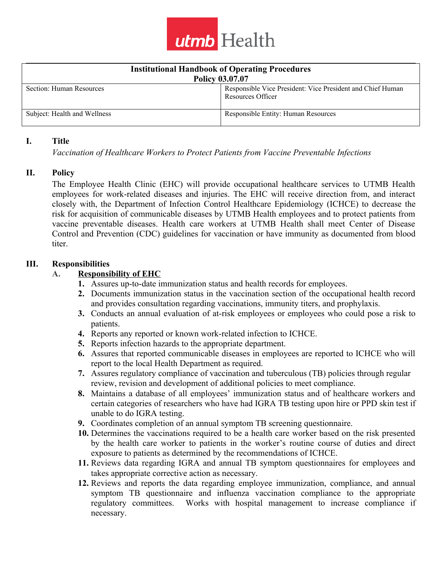

| <b>Institutional Handbook of Operating Procedures</b> |                                                                                 |  |  |  |  |
|-------------------------------------------------------|---------------------------------------------------------------------------------|--|--|--|--|
| <b>Policy 03.07.07</b>                                |                                                                                 |  |  |  |  |
| Section: Human Resources                              | Responsible Vice President: Vice President and Chief Human<br>Resources Officer |  |  |  |  |
| Subject: Health and Wellness                          | Responsible Entity: Human Resources                                             |  |  |  |  |

#### **I. Title**

*Vaccination of Healthcare Workers to Protect Patients from Vaccine Preventable Infections*

#### **II. Policy**

The Employee Health Clinic (EHC) will provide occupational healthcare services to UTMB Health employees for work-related diseases and injuries. The EHC will receive direction from, and interact closely with, the Department of Infection Control Healthcare Epidemiology (ICHCE) to decrease the risk for acquisition of communicable diseases by UTMB Health employees and to protect patients from vaccine preventable diseases. Health care workers at UTMB Health shall meet Center of Disease Control and Prevention (CDC) guidelines for vaccination or have immunity as documented from blood titer.

## **III. Responsibilities**

## **A. Responsibility of EHC**

- **1.** Assures up-to-date immunization status and health records for employees.
- **2.** Documents immunization status in the vaccination section of the occupational health record and provides consultation regarding vaccinations, immunity titers, and prophylaxis.
- **3.** Conducts an annual evaluation of at-risk employees or employees who could pose a risk to patients.
- **4.** Reports any reported or known work-related infection to ICHCE.
- **5.** Reports infection hazards to the appropriate department.
- **6.** Assures that reported communicable diseases in employees are reported to ICHCE who will report to the local Health Department as required.
- **7.** Assures regulatory compliance of vaccination and tuberculous (TB) policies through regular review, revision and development of additional policies to meet compliance.
- **8.** Maintains a database of all employees' immunization status and of healthcare workers and certain categories of researchers who have had IGRA TB testing upon hire or PPD skin test if unable to do IGRA testing.
- **9.** Coordinates completion of an annual symptom TB screening questionnaire.
- **10.** Determines the vaccinations required to be a health care worker based on the risk presented by the health care worker to patients in the worker's routine course of duties and direct exposure to patients as determined by the recommendations of ICHCE.
- **11.** Reviews data regarding IGRA and annual TB symptom questionnaires for employees and takes appropriate corrective action as necessary.
- **12.** Reviews and reports the data regarding employee immunization, compliance, and annual symptom TB questionnaire and influenza vaccination compliance to the appropriate regulatory committees. Works with hospital management to increase compliance if necessary.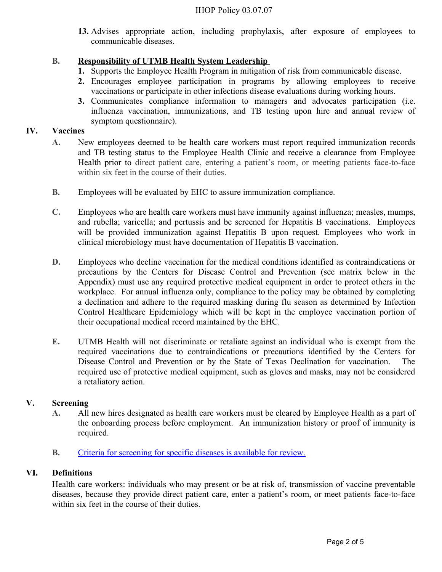**13.** Advises appropriate action, including prophylaxis, after exposure of employees to communicable diseases.

# **B. Responsibility of UTMB Health System Leadership**

- **1.** Supports the Employee Health Program in mitigation of risk from communicable disease.
- **2.** Encourages employee participation in programs by allowing employees to receive vaccinations or participate in other infections disease evaluations during working hours.
- **3.** Communicates compliance information to managers and advocates participation (i.e. influenza vaccination, immunizations, and TB testing upon hire and annual review of symptom questionnaire).

## **IV. Vaccines**

- **A.** New employees deemed to be health care workers must report required immunization records and TB testing status to the Employee Health Clinic and receive a clearance from Employee Health prior to direct patient care, entering a patient's room, or meeting patients face-to-face within six feet in the course of their duties.
- **B.** Employees will be evaluated by EHC to assure immunization compliance.
- **C.** Employees who are health care workers must have immunity against influenza; measles, mumps, and rubella; varicella; and pertussis and be screened for Hepatitis B vaccinations. Employees will be provided immunization against Hepatitis B upon request. Employees who work in clinical microbiology must have documentation of Hepatitis B vaccination.
- **D.** Employees who decline vaccination for the medical conditions identified as contraindications or precautions by the Centers for Disease Control and Prevention (see matrix below in the Appendix) must use any required protective medical equipment in order to protect others in the workplace. For annual influenza only, compliance to the policy may be obtained by completing a declination and adhere to the required masking during flu season as determined by Infection Control Healthcare Epidemiology which will be kept in the employee vaccination portion of their occupational medical record maintained by the EHC.
- **E.** UTMB Health will not discriminate or retaliate against an individual who is exempt from the required vaccinations due to contraindications or precautions identified by the Centers for Disease Control and Prevention or by the State of Texas Declination for vaccination. The required use of protective medical equipment, such as gloves and masks, may not be considered a retaliatory action.

# **V. Screening**

- **A.** All new hires designated as health care workers must be cleared by Employee Health as a part of the onboarding process before employment. An immunization history or proof of immunity is required.
- **B.** [Criteria for screening for specific diseases is available for review.](http://intranet.utmb.edu/policies_and_procedures/Search_Results/PNP_140730)

# **VI. Definitions**

Health care workers: individuals who may present or be at risk of, transmission of vaccine preventable diseases, because they provide direct patient care, enter a patient's room, or meet patients face-to-face within six feet in the course of their duties.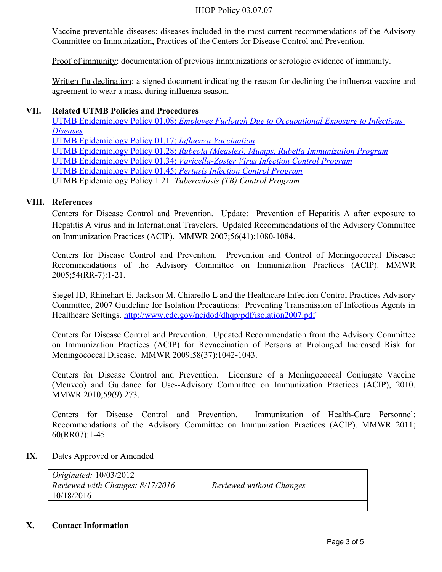#### IHOP Policy 03.07.07

Vaccine preventable diseases: diseases included in the most current recommendations of the Advisory Committee on Immunization, Practices of the Centers for Disease Control and Prevention.

Proof of immunity: documentation of previous immunizations or serologic evidence of immunity.

Written flu declination: a signed document indicating the reason for declining the influenza vaccine and agreement to wear a mask during influenza season.

## **VII. Related UTMB Policies and Procedures**

 UTMB Epidemiology Policy 01.08: *[Employee Furlough Due to Occupational Exposure to Infectious](https://www.utmb.edu/policies_and_procedures/Non-IHOP/Healthcare_Epidemiology/01.08%20-%20Employee%20and%20Student%20Furlough%20Due%20to%20Occupational%20Exposure%20to%20Infectious.pdf)  [Diseases](https://www.utmb.edu/policies_and_procedures/Non-IHOP/Healthcare_Epidemiology/01.08%20-%20Employee%20and%20Student%20Furlough%20Due%20to%20Occupational%20Exposure%20to%20Infectious.pdf)*  [UTMB Epidemiology Policy 01.17:](https://www.utmb.edu/policies_and_procedures/Non-IHOP/Healthcare_Epidemiology/01.17%20-%20Influenza%20Vaccination.pdf) *Influenza Vaccination* UTMB Epidemiology Policy 01.28: *[Rubeola \(Measles\), Mumps, Rubella Immunization Program](https://www.utmb.edu/policies_and_procedures/Non-IHOP/Healthcare_Epidemiology/01.28%20-%20Measles,%20Mumps%20and%20Rubella%20Immunity%20Program.pdf)* UTMB Epidemiology Policy 01.34: *[Varicella-Zoster Virus Infection Control Program](https://www.utmb.edu/policies_and_procedures/Non-IHOP/Healthcare_Epidemiology/01.34%20-%20Varicella%20Zoster%20Virus%20Infection%20Control%20Program.pdf)* [UTMB Epidemiology Policy 01.45:](https://www.utmb.edu/policies_and_procedures/Non-IHOP/Healthcare_Epidemiology/01.45%20-%20Pertussis_Infection_Control_Program.pdf) *Pertusis Infection Control Program* UTMB Epidemiology Policy 1.21: *Tuberculosis (TB) Control Program*

## **VIII. References**

Centers for Disease Control and Prevention. Update: Prevention of Hepatitis A after exposure to Hepatitis A virus and in International Travelers. Updated Recommendations of the Advisory Committee on Immunization Practices (ACIP). MMWR 2007;56(41):1080-1084.

Centers for Disease Control and Prevention. Prevention and Control of Meningococcal Disease: Recommendations of the Advisory Committee on Immunization Practices (ACIP). MMWR 2005;54(RR-7):1-21.

Siegel JD, Rhinehart E, Jackson M, Chiarello L and the Healthcare Infection Control Practices Advisory Committee, 2007 Guideline for Isolation Precautions: Preventing Transmission of Infectious Agents in Healthcare Settings. <http://www.cdc.gov/ncidod/dhqp/pdf/isolation2007.pdf>

Centers for Disease Control and Prevention. Updated Recommendation from the Advisory Committee on Immunization Practices (ACIP) for Revaccination of Persons at Prolonged Increased Risk for Meningococcal Disease. MMWR 2009;58(37):1042-1043.

Centers for Disease Control and Prevention. Licensure of a Meningococcal Conjugate Vaccine (Menveo) and Guidance for Use--Advisory Committee on Immunization Practices (ACIP), 2010. MMWR 2010;59(9):273.

Centers for Disease Control and Prevention. Immunization of Health-Care Personnel: Recommendations of the Advisory Committee on Immunization Practices (ACIP). MMWR 2011; 60(RR07):1-45.

#### **IX.** Dates Approved or Amended

| Originated: $10/03/2012$         |                          |
|----------------------------------|--------------------------|
| Reviewed with Changes: 8/17/2016 | Reviewed without Changes |
| 10/18/2016                       |                          |
|                                  |                          |

#### **X. Contact Information**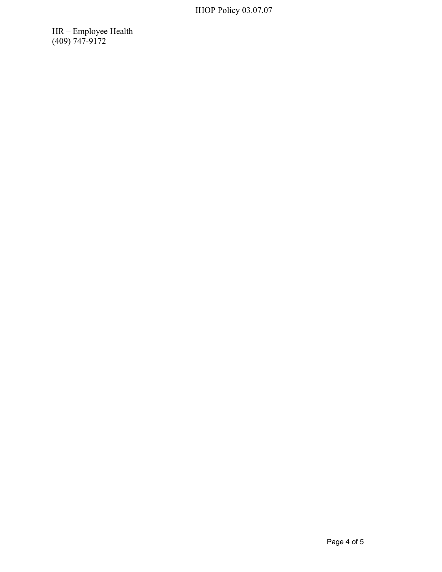HR – Employee Health (409) 747-9172